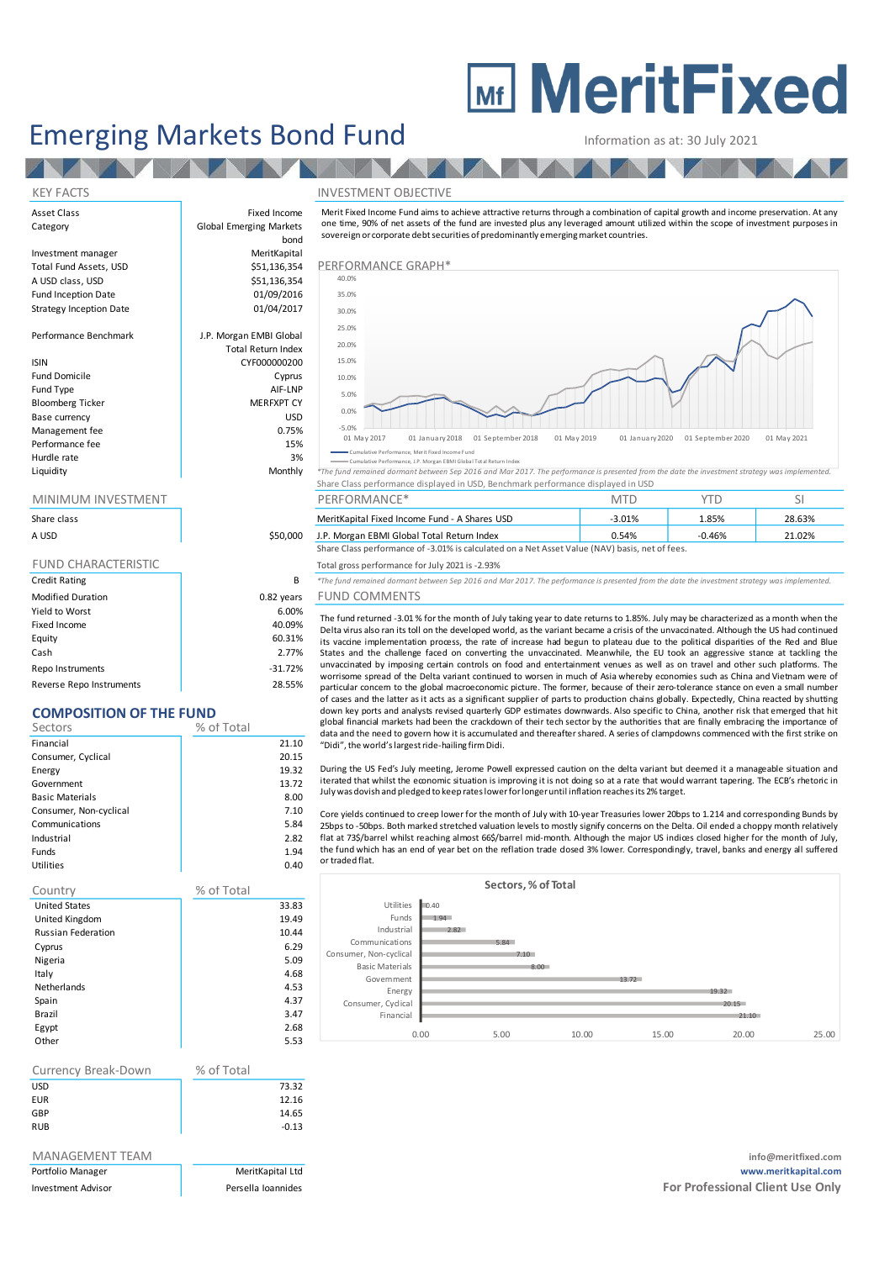# **MEDITY MeritFixed**

# Emerging Markets Bond Fund Information as at: 30 July 2021

**THE TEAM** 

Performance Benchmark

Fund Domicile Fund Type Bloomberg Ticker Base currency Management fee Performance fee Hurdle rate

### KEY FACTS INVESTMENT OBJECTIVE

Asset Class **Fixed Income** Category **Global Emerging Markets** bond Investment manager MeritKapital Total Fund Assets, USD **\$51,136,354 PERFORMANCE GRAPH**\* A USD class, USD  $$51,136,354$ Fund Inception Date 01/09/2016 Strategy Inception Date 01/04/2017 Total Return Index ISIN CYF000000200

| J.P. Morgan EMBI Global   |
|---------------------------|
| <b>Total Return Index</b> |
| CYF000000200              |
| Cyprus                    |
| AIF-LNP                   |
| <b>MERFXPT CY</b>         |
| USD                       |
| 0.75%                     |
| 15%                       |
| 3%                        |
| Monthly                   |

# sovereign or corporate debt securities of predominantly emerging market countries.



Cumulative Performance, Merit Fixed Income Fund

in the product of the product of the manufature reformance, p. Morgan Editional The fund in the second of the manufature index and the second of the second of the second of the second of the second of the second of the sec Share Class performance displayed in USD, Benchmark performance displayed in USD

| <b>INVES</b><br><b>MINIMUM</b><br>I MEN | $\cdots$<br>DED<br>1 D N A<br><sup>4</sup> ANC∟<br>JKIVIA | <b>Contract Contract Contract</b><br>- Mi | $-$ groups to | - - |
|-----------------------------------------|-----------------------------------------------------------|-------------------------------------------|---------------|-----|
|                                         |                                                           |                                           |               |     |

| Share class |          | MeritKapital Fixed Income Fund - A Shares USD                                                  | $-3.01%$ | 1.85%    | 28.63% |
|-------------|----------|------------------------------------------------------------------------------------------------|----------|----------|--------|
| A USD       | \$50,000 | J.P. Morgan EBMI Global Total Return Index                                                     | 0.54%    | $-0.46%$ | 21.02% |
|             |          | Share Class performance of -3.01% is calculated on a Net Asset Value (NAV) basis, net of fees. |          |          |        |

FUND CHARACTERISTIC TOTAL Total gross performance for July 2021 is -2.93%

Credit Rating B *\*The fund remained dormant between Sep 2016 and Mar 2017. The performance is presented from the date the investment strategy was implemented.*

## Modified Duration **Notified Duration 1.82 years** FUND COMMENTS

The fund returned -3.01 % for the month of July taking year to date returns to 1.85%. July may be characterized as <sup>a</sup> month when the Delta virus also ran its toll on the developed world, as the variant became <sup>a</sup> crisis of the unvaccinated. Although the US had continued its vaccine implementation process, the rate of increase had begun to plateau due to the political disparities of the Red and Blue States and the challenge faced on converting the unvaccinated. Meanwhile, the EU took an aggressive stance at tackling the unvaccinated by imposing certain controls on food and entertainment venues as well as on travel and other such platforms. The worrisome spread of the Delta variant continued to worsen in much of Asia whereby economies such as China and Vietnam were of particular concern to the global macroeconomic picture. The former, because of their zero-tolerance stance on even <sup>a</sup> small number of cases and the latter as it acts as a significant supplier of parts to production chains globally. Expectedly, China reacted by shutting down key ports and analysts revised quarterly GDP estimates downwards. Also specific to China, another risk that emerged that hit global financial markets had been the crackdown of their tech sector by the authorities that are finally embracing the importance of data and the need to govern how it is accumulated and thereafter shared. A series of clampdowns commenced with the first strike on "Didi", the world's largest ride-hailing firm Didi.

During the US Fed's July meeting, Jerome Powell expressed caution on the delta variant but deemed it a manageable situation and iterated that whilst the economic situation is improving it is not doing so at a rate that would warrant tapering. The ECB's rhetoric in July was dovish and pledged to keep rateslowerforlongeruntil inflation reachesits 2% target.

Core yields continued to creep lower for the month of July with 10-year Treasuries lower 20bps to 1.214 and corresponding Bunds by 25bps to -50bps. Both marked stretched valuation levels to mostly signify concerns on the Delta. Oil ended <sup>a</sup> choppy month relatively flat at 73\$/barrel whilst reaching almost 66\$/barrel mid-month. Although the major US indices closed higher for the month of July, the fund which has an end of year bet on the reflation trade closed 3% lower. Correspondingly, travel, banks and energy all suffered or traded flat.



| Currency Break-Down | % of Total |         |
|---------------------|------------|---------|
| USD                 |            | 73.32   |
| EUR                 |            | 12.16   |
| GBP                 |            | 14.65   |
| RUB                 |            | $-0.13$ |

Yield to Worst 6.00% Fixed Income 40.09% Equity 60.31% Cash 2.77% Repo Instruments and the set of the set of the set of the set of the set of the set of the set of the set of the set of the set of the set of the set of the set of the set of the set of the set of the set of the set of the Reverse Repo Instruments 28.55%

**COMPOSITION OF THE FUND** Sectors % of Total Financial 21.10 Consumer, Cyclical 20.15 Energy 19.32 Government 13.72 Basic Materials **8.00** Consumer, Non-cyclical 7.10 Communications 5.84 Industrial 2.82 Funds 1.94 Utilities 0.40

Country % of Total United States 33.83 United Kingdom 19.49 Russian Federation **10.44** Cyprus 6.29 Nigeria 5.09 Italy 4.68 Netherlands 4.53 Spain 4.37 Brazil 3.47 Egypt 2.68 Other 5.53

MANAGEMENT TEAM **info@meritfixed.com** Portfolio Manager MeritKapital Ltd **www.meritkapital.com** Investment Advisor **Formulates** Persella Ioannides **Formulates For Professional Client Use Only Formulates For Professional Client Use Only** 

## Merit Fixed Income Fund aims to achieve attractive returns through <sup>a</sup> combination of capital growth and income preservation. A t any one time, 90% of net assets of the fund are invested plus any leveraged amount utilized within the scope of investment purposes in